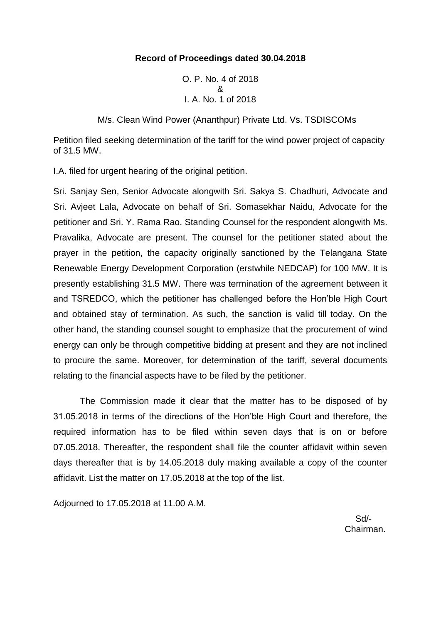## **Record of Proceedings dated 30.04.2018**

O. P. No. 4 of 2018 & I. A. No. 1 of 2018

M/s. Clean Wind Power (Ananthpur) Private Ltd. Vs. TSDISCOMs

Petition filed seeking determination of the tariff for the wind power project of capacity of 31.5 MW.

I.A. filed for urgent hearing of the original petition.

Sri. Sanjay Sen, Senior Advocate alongwith Sri. Sakya S. Chadhuri, Advocate and Sri. Avjeet Lala, Advocate on behalf of Sri. Somasekhar Naidu, Advocate for the petitioner and Sri. Y. Rama Rao, Standing Counsel for the respondent alongwith Ms. Pravalika, Advocate are present. The counsel for the petitioner stated about the prayer in the petition, the capacity originally sanctioned by the Telangana State Renewable Energy Development Corporation (erstwhile NEDCAP) for 100 MW. It is presently establishing 31.5 MW. There was termination of the agreement between it and TSREDCO, which the petitioner has challenged before the Hon'ble High Court and obtained stay of termination. As such, the sanction is valid till today. On the other hand, the standing counsel sought to emphasize that the procurement of wind energy can only be through competitive bidding at present and they are not inclined to procure the same. Moreover, for determination of the tariff, several documents relating to the financial aspects have to be filed by the petitioner.

The Commission made it clear that the matter has to be disposed of by 31.05.2018 in terms of the directions of the Hon'ble High Court and therefore, the required information has to be filed within seven days that is on or before 07.05.2018. Thereafter, the respondent shall file the counter affidavit within seven days thereafter that is by 14.05.2018 duly making available a copy of the counter affidavit. List the matter on 17.05.2018 at the top of the list.

Adjourned to 17.05.2018 at 11.00 A.M.

 Sd/- Chairman.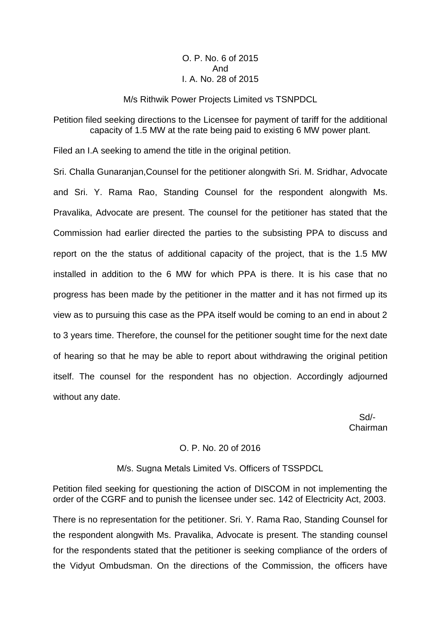## O. P. No. 6 of 2015 And I. A. No. 28 of 2015

#### M/s Rithwik Power Projects Limited vs TSNPDCL

Petition filed seeking directions to the Licensee for payment of tariff for the additional capacity of 1.5 MW at the rate being paid to existing 6 MW power plant.

Filed an I.A seeking to amend the title in the original petition.

Sri. Challa Gunaranjan,Counsel for the petitioner alongwith Sri. M. Sridhar, Advocate and Sri. Y. Rama Rao, Standing Counsel for the respondent alongwith Ms. Pravalika, Advocate are present. The counsel for the petitioner has stated that the Commission had earlier directed the parties to the subsisting PPA to discuss and report on the the status of additional capacity of the project, that is the 1.5 MW installed in addition to the 6 MW for which PPA is there. It is his case that no progress has been made by the petitioner in the matter and it has not firmed up its view as to pursuing this case as the PPA itself would be coming to an end in about 2 to 3 years time. Therefore, the counsel for the petitioner sought time for the next date of hearing so that he may be able to report about withdrawing the original petition itself. The counsel for the respondent has no objection. Accordingly adjourned without any date.

 Sd/- Chairman

### O. P. No. 20 of 2016

M/s. Sugna Metals Limited Vs. Officers of TSSPDCL

Petition filed seeking for questioning the action of DISCOM in not implementing the order of the CGRF and to punish the licensee under sec. 142 of Electricity Act, 2003.

There is no representation for the petitioner. Sri. Y. Rama Rao, Standing Counsel for the respondent alongwith Ms. Pravalika, Advocate is present. The standing counsel for the respondents stated that the petitioner is seeking compliance of the orders of the Vidyut Ombudsman. On the directions of the Commission, the officers have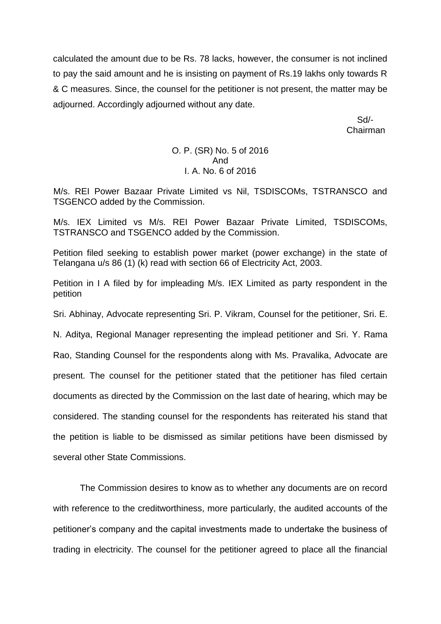calculated the amount due to be Rs. 78 lacks, however, the consumer is not inclined to pay the said amount and he is insisting on payment of Rs.19 lakhs only towards R & C measures. Since, the counsel for the petitioner is not present, the matter may be adjourned. Accordingly adjourned without any date.

> Sd/- Chairman

## O. P. (SR) No. 5 of 2016 And I. A. No. 6 of 2016

M/s. REI Power Bazaar Private Limited vs Nil, TSDISCOMs, TSTRANSCO and TSGENCO added by the Commission.

M/s. IEX Limited vs M/s. REI Power Bazaar Private Limited, TSDISCOMs, TSTRANSCO and TSGENCO added by the Commission.

Petition filed seeking to establish power market (power exchange) in the state of Telangana u/s 86 (1) (k) read with section 66 of Electricity Act, 2003.

Petition in I A filed by for impleading M/s. IEX Limited as party respondent in the petition

Sri. Abhinay, Advocate representing Sri. P. Vikram, Counsel for the petitioner, Sri. E.

N. Aditya, Regional Manager representing the implead petitioner and Sri. Y. Rama Rao, Standing Counsel for the respondents along with Ms. Pravalika, Advocate are present. The counsel for the petitioner stated that the petitioner has filed certain documents as directed by the Commission on the last date of hearing, which may be considered. The standing counsel for the respondents has reiterated his stand that the petition is liable to be dismissed as similar petitions have been dismissed by several other State Commissions.

The Commission desires to know as to whether any documents are on record with reference to the creditworthiness, more particularly, the audited accounts of the petitioner's company and the capital investments made to undertake the business of trading in electricity. The counsel for the petitioner agreed to place all the financial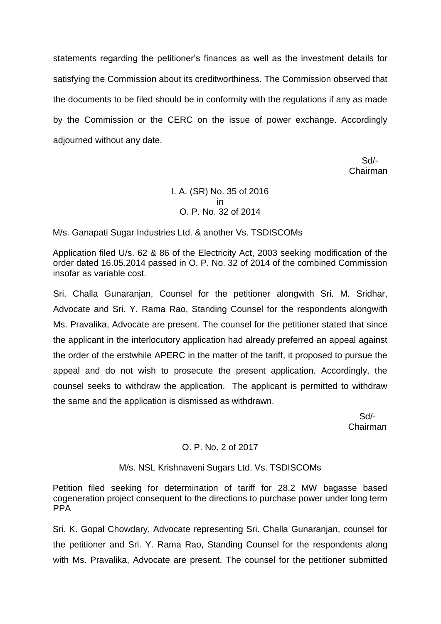statements regarding the petitioner's finances as well as the investment details for satisfying the Commission about its creditworthiness. The Commission observed that the documents to be filed should be in conformity with the regulations if any as made by the Commission or the CERC on the issue of power exchange. Accordingly adjourned without any date.

 Sd/- Chairman

# I. A. (SR) No. 35 of 2016 in O. P. No. 32 of 2014

M/s. Ganapati Sugar Industries Ltd. & another Vs. TSDISCOMs

Application filed U/s. 62 & 86 of the Electricity Act, 2003 seeking modification of the order dated 16.05.2014 passed in O. P. No. 32 of 2014 of the combined Commission insofar as variable cost.

Sri. Challa Gunaranjan, Counsel for the petitioner alongwith Sri. M. Sridhar, Advocate and Sri. Y. Rama Rao, Standing Counsel for the respondents alongwith Ms. Pravalika, Advocate are present. The counsel for the petitioner stated that since the applicant in the interlocutory application had already preferred an appeal against the order of the erstwhile APERC in the matter of the tariff, it proposed to pursue the appeal and do not wish to prosecute the present application. Accordingly, the counsel seeks to withdraw the application. The applicant is permitted to withdraw the same and the application is dismissed as withdrawn.

 Sd/- Chairman

# O. P. No. 2 of 2017

## M/s. NSL Krishnaveni Sugars Ltd. Vs. TSDISCOMs

Petition filed seeking for determination of tariff for 28.2 MW bagasse based cogeneration project consequent to the directions to purchase power under long term PPA

Sri. K. Gopal Chowdary, Advocate representing Sri. Challa Gunaranjan, counsel for the petitioner and Sri. Y. Rama Rao, Standing Counsel for the respondents along with Ms. Pravalika, Advocate are present. The counsel for the petitioner submitted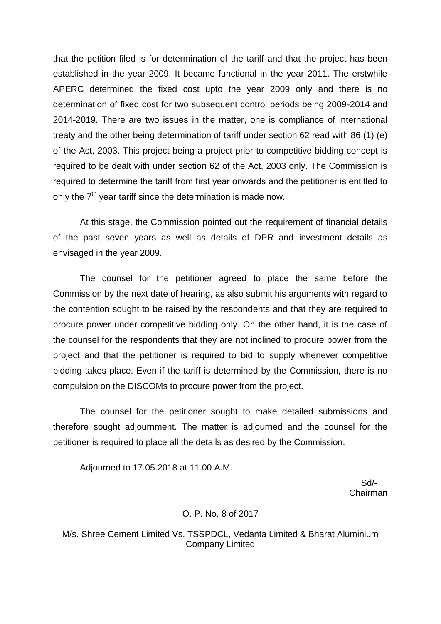that the petition filed is for determination of the tariff and that the project has been established in the year 2009. It became functional in the year 2011. The erstwhile APERC determined the fixed cost upto the year 2009 only and there is no determination of fixed cost for two subsequent control periods being 2009-2014 and 2014-2019. There are two issues in the matter, one is compliance of international treaty and the other being determination of tariff under section 62 read with 86 (1) (e) of the Act, 2003. This project being a project prior to competitive bidding concept is required to be dealt with under section 62 of the Act, 2003 only. The Commission is required to determine the tariff from first year onwards and the petitioner is entitled to only the  $7<sup>th</sup>$  year tariff since the determination is made now.

At this stage, the Commission pointed out the requirement of financial details of the past seven years as well as details of DPR and investment details as envisaged in the year 2009.

The counsel for the petitioner agreed to place the same before the Commission by the next date of hearing, as also submit his arguments with regard to the contention sought to be raised by the respondents and that they are required to procure power under competitive bidding only. On the other hand, it is the case of the counsel for the respondents that they are not inclined to procure power from the project and that the petitioner is required to bid to supply whenever competitive bidding takes place. Even if the tariff is determined by the Commission, there is no compulsion on the DISCOMs to procure power from the project.

The counsel for the petitioner sought to make detailed submissions and therefore sought adjournment. The matter is adjourned and the counsel for the petitioner is required to place all the details as desired by the Commission.

Adjourned to 17.05.2018 at 11.00 A.M.

 Sd/- Chairman

### O. P. No. 8 of 2017

M/s. Shree Cement Limited Vs. TSSPDCL, Vedanta Limited & Bharat Aluminium Company Limited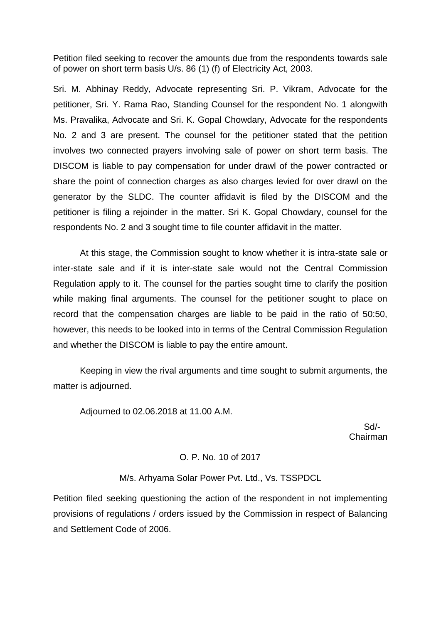Petition filed seeking to recover the amounts due from the respondents towards sale of power on short term basis U/s. 86 (1) (f) of Electricity Act, 2003.

Sri. M. Abhinay Reddy, Advocate representing Sri. P. Vikram, Advocate for the petitioner, Sri. Y. Rama Rao, Standing Counsel for the respondent No. 1 alongwith Ms. Pravalika, Advocate and Sri. K. Gopal Chowdary, Advocate for the respondents No. 2 and 3 are present. The counsel for the petitioner stated that the petition involves two connected prayers involving sale of power on short term basis. The DISCOM is liable to pay compensation for under drawl of the power contracted or share the point of connection charges as also charges levied for over drawl on the generator by the SLDC. The counter affidavit is filed by the DISCOM and the petitioner is filing a rejoinder in the matter. Sri K. Gopal Chowdary, counsel for the respondents No. 2 and 3 sought time to file counter affidavit in the matter.

At this stage, the Commission sought to know whether it is intra-state sale or inter-state sale and if it is inter-state sale would not the Central Commission Regulation apply to it. The counsel for the parties sought time to clarify the position while making final arguments. The counsel for the petitioner sought to place on record that the compensation charges are liable to be paid in the ratio of 50:50, however, this needs to be looked into in terms of the Central Commission Regulation and whether the DISCOM is liable to pay the entire amount.

Keeping in view the rival arguments and time sought to submit arguments, the matter is adjourned.

Adjourned to 02.06.2018 at 11.00 A.M.

 Sd/- Chairman

## O. P. No. 10 of 2017

M/s. Arhyama Solar Power Pvt. Ltd., Vs. TSSPDCL

Petition filed seeking questioning the action of the respondent in not implementing provisions of regulations / orders issued by the Commission in respect of Balancing and Settlement Code of 2006.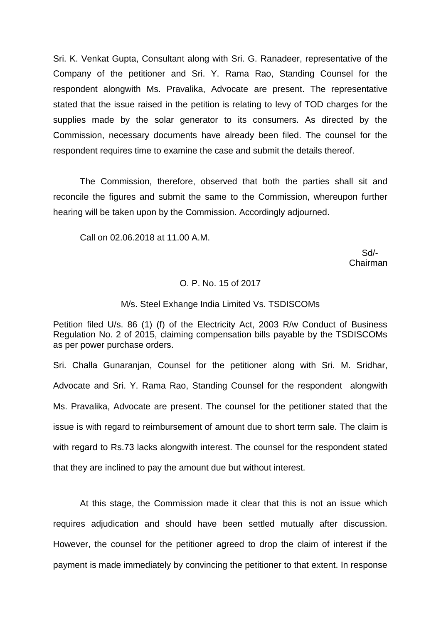Sri. K. Venkat Gupta, Consultant along with Sri. G. Ranadeer, representative of the Company of the petitioner and Sri. Y. Rama Rao, Standing Counsel for the respondent alongwith Ms. Pravalika, Advocate are present. The representative stated that the issue raised in the petition is relating to levy of TOD charges for the supplies made by the solar generator to its consumers. As directed by the Commission, necessary documents have already been filed. The counsel for the respondent requires time to examine the case and submit the details thereof.

The Commission, therefore, observed that both the parties shall sit and reconcile the figures and submit the same to the Commission, whereupon further hearing will be taken upon by the Commission. Accordingly adjourned.

Call on 02.06.2018 at 11.00 A.M.

 Sd/- Chairman

#### O. P. No. 15 of 2017

#### M/s. Steel Exhange India Limited Vs. TSDISCOMs

Petition filed U/s. 86 (1) (f) of the Electricity Act, 2003 R/w Conduct of Business Regulation No. 2 of 2015, claiming compensation bills payable by the TSDISCOMs as per power purchase orders.

Sri. Challa Gunaranjan, Counsel for the petitioner along with Sri. M. Sridhar, Advocate and Sri. Y. Rama Rao, Standing Counsel for the respondent alongwith Ms. Pravalika, Advocate are present. The counsel for the petitioner stated that the issue is with regard to reimbursement of amount due to short term sale. The claim is with regard to Rs.73 lacks alongwith interest. The counsel for the respondent stated that they are inclined to pay the amount due but without interest.

At this stage, the Commission made it clear that this is not an issue which requires adjudication and should have been settled mutually after discussion. However, the counsel for the petitioner agreed to drop the claim of interest if the payment is made immediately by convincing the petitioner to that extent. In response